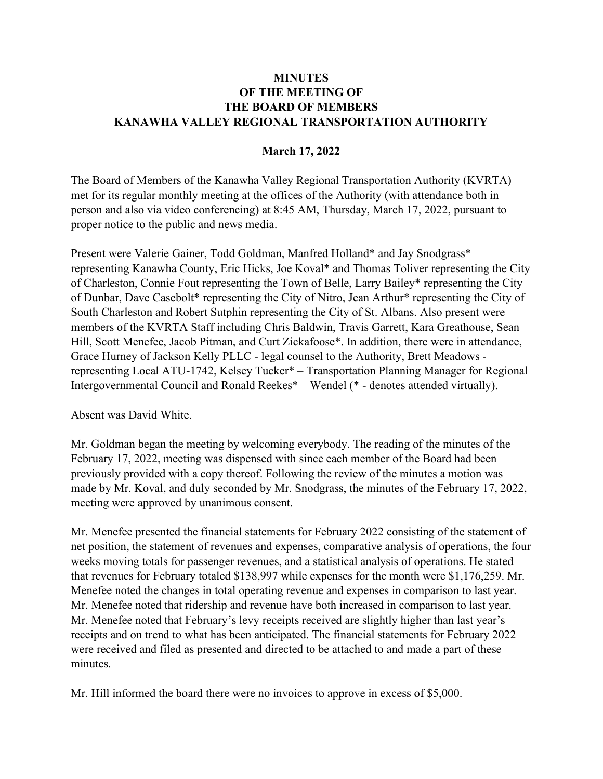## **MINUTES** OF THE MEETING OF THE BOARD OF MEMBERS KANAWHA VALLEY REGIONAL TRANSPORTATION AUTHORITY

## March 17, 2022

The Board of Members of the Kanawha Valley Regional Transportation Authority (KVRTA) met for its regular monthly meeting at the offices of the Authority (with attendance both in person and also via video conferencing) at 8:45 AM, Thursday, March 17, 2022, pursuant to proper notice to the public and news media.

Present were Valerie Gainer, Todd Goldman, Manfred Holland\* and Jay Snodgrass\* representing Kanawha County, Eric Hicks, Joe Koval\* and Thomas Toliver representing the City of Charleston, Connie Fout representing the Town of Belle, Larry Bailey\* representing the City of Dunbar, Dave Casebolt\* representing the City of Nitro, Jean Arthur\* representing the City of South Charleston and Robert Sutphin representing the City of St. Albans. Also present were members of the KVRTA Staff including Chris Baldwin, Travis Garrett, Kara Greathouse, Sean Hill, Scott Menefee, Jacob Pitman, and Curt Zickafoose\*. In addition, there were in attendance, Grace Hurney of Jackson Kelly PLLC - legal counsel to the Authority, Brett Meadows representing Local ATU-1742, Kelsey Tucker\* – Transportation Planning Manager for Regional Intergovernmental Council and Ronald Reekes\* – Wendel (\* - denotes attended virtually).

Absent was David White.

Mr. Goldman began the meeting by welcoming everybody. The reading of the minutes of the February 17, 2022, meeting was dispensed with since each member of the Board had been previously provided with a copy thereof. Following the review of the minutes a motion was made by Mr. Koval, and duly seconded by Mr. Snodgrass, the minutes of the February 17, 2022, meeting were approved by unanimous consent.

Mr. Menefee presented the financial statements for February 2022 consisting of the statement of net position, the statement of revenues and expenses, comparative analysis of operations, the four weeks moving totals for passenger revenues, and a statistical analysis of operations. He stated that revenues for February totaled \$138,997 while expenses for the month were \$1,176,259. Mr. Menefee noted the changes in total operating revenue and expenses in comparison to last year. Mr. Menefee noted that ridership and revenue have both increased in comparison to last year. Mr. Menefee noted that February's levy receipts received are slightly higher than last year's receipts and on trend to what has been anticipated. The financial statements for February 2022 were received and filed as presented and directed to be attached to and made a part of these minutes.

Mr. Hill informed the board there were no invoices to approve in excess of \$5,000.